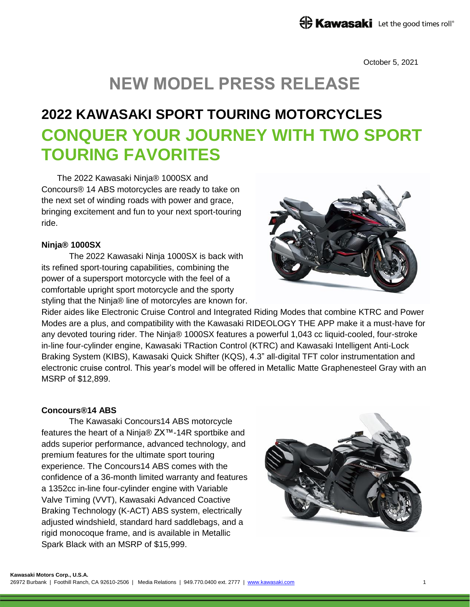### **ED Kawasaki** Let the good times roll®

October 5, 2021

# **NEW MODEL PRESS RELEASE**

## **2022 KAWASAKI SPORT TOURING MOTORCYCLES CONQUER YOUR JOURNEY WITH TWO SPORT TOURING FAVORITES**

The 2022 Kawasaki Ninja® 1000SX and Concours® 14 ABS motorcycles are ready to take on the next set of winding roads with power and grace, bringing excitement and fun to your next sport-touring ride.

#### **Ninja® 1000SX**

The 2022 Kawasaki Ninja 1000SX is back with its refined sport-touring capabilities, combining the power of a supersport motorcycle with the feel of a comfortable upright sport motorcycle and the sporty styling that the Ninja® line of motorcyles are known for.



Rider aides like Electronic Cruise Control and Integrated Riding Modes that combine KTRC and Power Modes are a plus, and compatibility with the Kawasaki RIDEOLOGY THE APP make it a must-have for any devoted touring rider. The Ninja® 1000SX features a powerful 1,043 cc liquid-cooled, four-stroke in-line four-cylinder engine, Kawasaki TRaction Control (KTRC) and Kawasaki Intelligent Anti-Lock Braking System (KIBS), Kawasaki Quick Shifter (KQS), 4.3" all-digital TFT color instrumentation and electronic cruise control. This year's model will be offered in Metallic Matte Graphenesteel Gray with an MSRP of \$12,899.

### **Concours®14 ABS**

The Kawasaki Concours14 ABS motorcycle features the heart of a Ninja® ZX™-14R sportbike and adds superior performance, advanced technology, and premium features for the ultimate sport touring experience. The Concours14 ABS comes with the confidence of a 36-month limited warranty and features a 1352cc in-line four-cylinder engine with Variable Valve Timing (VVT), Kawasaki Advanced Coactive Braking Technology (K-ACT) ABS system, electrically adjusted windshield, standard hard saddlebags, and a rigid monocoque frame, and is available in Metallic Spark Black with an MSRP of \$15,999.